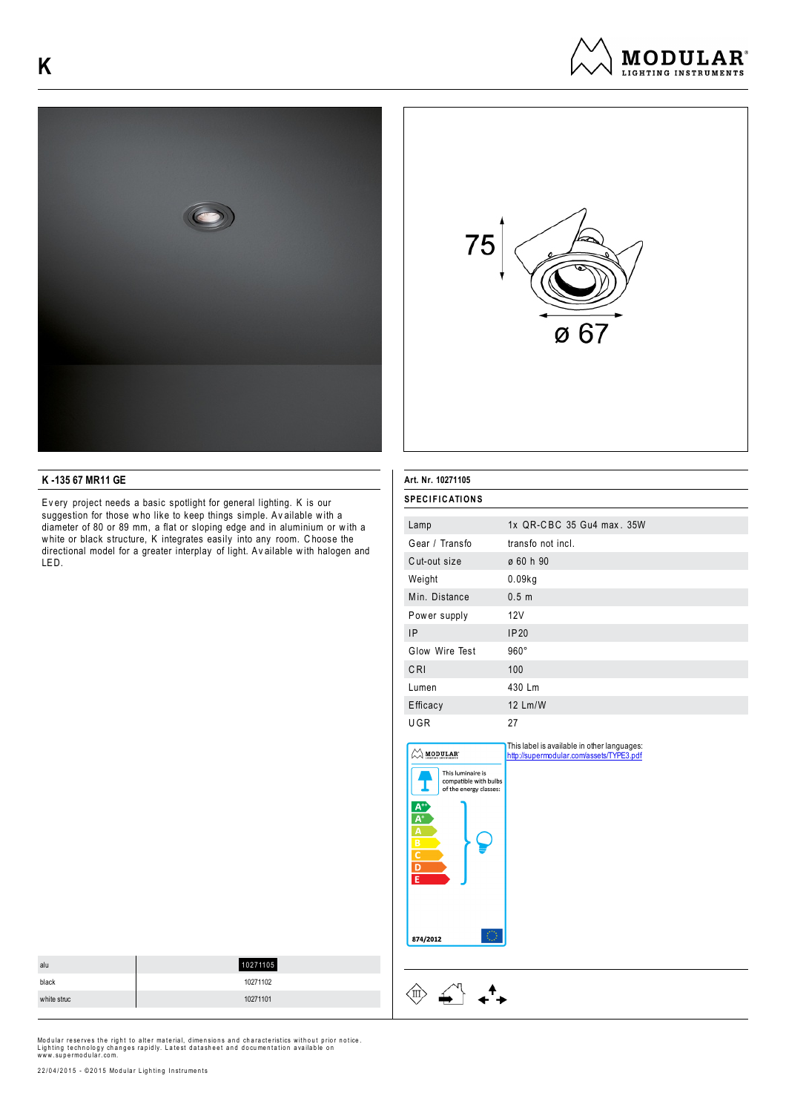





## **K -135 67 MR11 GE**

Ev ery project needs a basic spotlight for general lighting. K is our suggestion for those who like to keep things simple. Available with a diameter of 80 or 89 mm, a flat or sloping edge and in aluminium or w ith a w hite or black structure, K integrates easily into any room. C hoose the directional model for a greater interplay of light. Av ailable w ith halogen and LED.

| Art. Nr. 10271105                                                                                                                 |                                                                                         |  |
|-----------------------------------------------------------------------------------------------------------------------------------|-----------------------------------------------------------------------------------------|--|
| <b>SPECIFICATIONS</b>                                                                                                             |                                                                                         |  |
| Lamp                                                                                                                              | 1x QR-CBC 35 Gu4 max. 35W                                                               |  |
| Gear / Transfo                                                                                                                    | transfo not incl.                                                                       |  |
| Cut-out size                                                                                                                      | ø 60 h 90                                                                               |  |
| Weight                                                                                                                            | 0.09kg                                                                                  |  |
| Min. Distance                                                                                                                     | 0.5 <sub>m</sub>                                                                        |  |
| Power supply                                                                                                                      | 12V                                                                                     |  |
| <b>IP</b>                                                                                                                         | IP20                                                                                    |  |
| Glow Wire Test                                                                                                                    | $960^\circ$                                                                             |  |
| CRI                                                                                                                               | 100                                                                                     |  |
| Lumen                                                                                                                             | 430 Lm                                                                                  |  |
| Efficacy                                                                                                                          | 12 Lm/W                                                                                 |  |
| UGR                                                                                                                               | 27                                                                                      |  |
| <b>MODULAR</b><br>This luminaire is<br>compatible with bulbs<br>of the energy classes:<br><u>A+i</u><br>$\overline{\mathsf{A}^*}$ | This label is available in other languages:<br>http://supermodular.com/assets/TYPE3.pdf |  |

ō ١F

874/2012

 $\langle \n{\mathbb{I}} \rangle$ 

 $\begin{picture}(120,15) \put(0,0){\vector(1,0){15}} \put(15,0){\vector(1,0){15}} \put(15,0){\vector(1,0){15}} \put(15,0){\vector(1,0){15}} \put(15,0){\vector(1,0){15}} \put(15,0){\vector(1,0){15}} \put(15,0){\vector(1,0){15}} \put(15,0){\vector(1,0){15}} \put(15,0){\vector(1,0){15}} \put(15,0){\vector(1,0){15}} \put(15,0){\vector(1,0){15}} \put(15,0){\vector($ 

 $\star^4$ 

| alu         | 10271105 |
|-------------|----------|
| black       | 10271102 |
| white struc | 10271101 |

Modular reserves the right to alter material, dimensions and characteristics without prior notice.<br>Lighting technology changes rapidly. Latest datasheet and documentation available on<br>www.supermodular.com.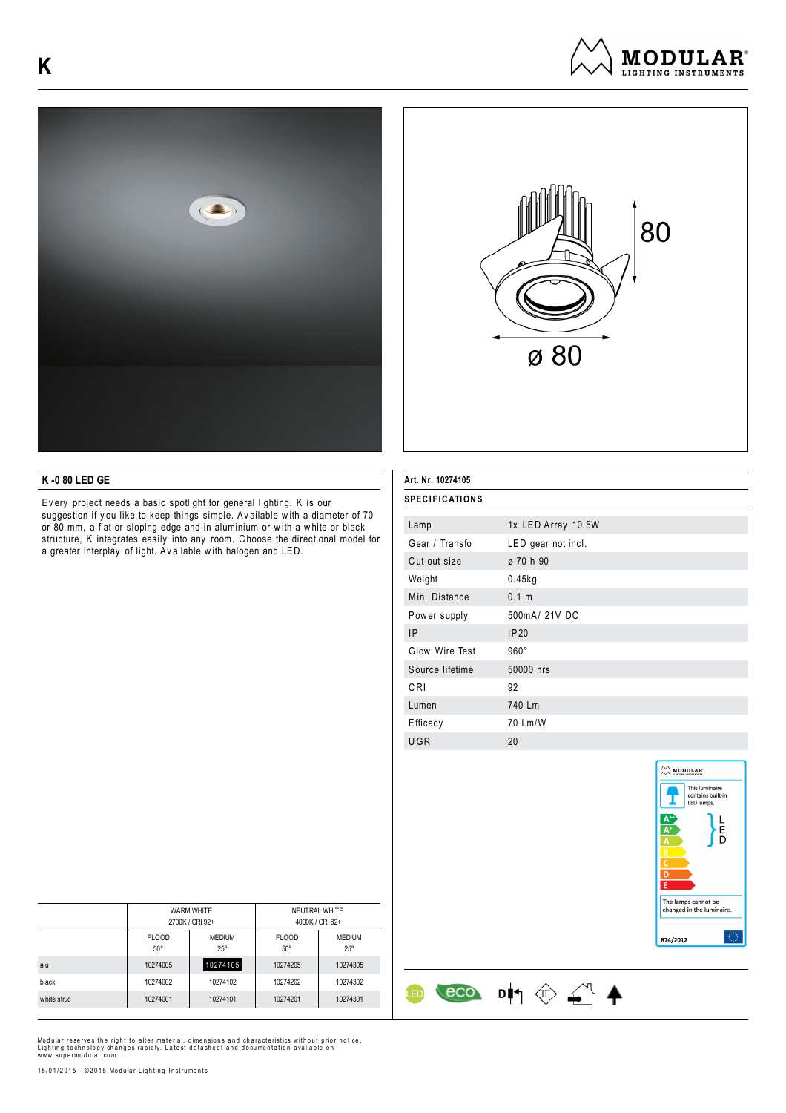





## **K -0 80 LED GE**

Ev ery project needs a basic spotlight for general lighting. K is our suggestion if you like to keep things simple. Available with a diameter of 70 or 80 mm, a flat or sloping edge and in aluminium or w ith a w hite or black structure, K integrates easily into any room. C hoose the directional model for a greater interplay of light. Av ailable w ith halogen and LED.

### **Art. Nr. 10274105**

| <b>SPECIFICATIONS</b> |                    |  |
|-----------------------|--------------------|--|
|                       |                    |  |
| Lamp                  | 1x LED Array 10.5W |  |
| Gear / Transfo        | LED gear not incl. |  |
| Cut-out size          | ø 70 h 90          |  |
| Weight                | $0.45$ kg          |  |
| Min. Distance         | 0.1 m              |  |
| Power supply          | 500mA/ 21V DC      |  |
| <b>IP</b>             | IP20               |  |
| Glow Wire Test        | $960^\circ$        |  |
| Source lifetime       | 50000 hrs          |  |
| CRI                   | 92                 |  |
| Lumen                 | 740 Lm             |  |
| Efficacy              | 70 Lm/W            |  |
| UGR                   | 20                 |  |

 $\cos$   $\cos$   $\frac{1}{2}$ 

ŒD



|             | <b>WARM WHITE</b><br>2700K / CRI 92+ |                             | NEUTRAL WHITE<br>4000K / CRI 82+ |                             |
|-------------|--------------------------------------|-----------------------------|----------------------------------|-----------------------------|
|             | <b>FLOOD</b><br>$50^{\circ}$         | <b>MEDIUM</b><br>$25^\circ$ | <b>FLOOD</b><br>$50^\circ$       | <b>MEDIUM</b><br>$25^\circ$ |
| alu         | 10274005                             | 10274105                    | 10274205                         | 10274305                    |
| black       | 10274002                             | 10274102                    | 10274202                         | 10274302                    |
| white struc | 10274001                             | 10274101                    | 10274201                         | 10274301                    |

Modular reserves the right to alter material, dimensions and characteristics without prior notice.<br>Lighting technology changes rapidly. Latest datasheet and documentation available on<br>www.supermodular.com.

15/01/2015 - ©2015 Modular Lighting Instruments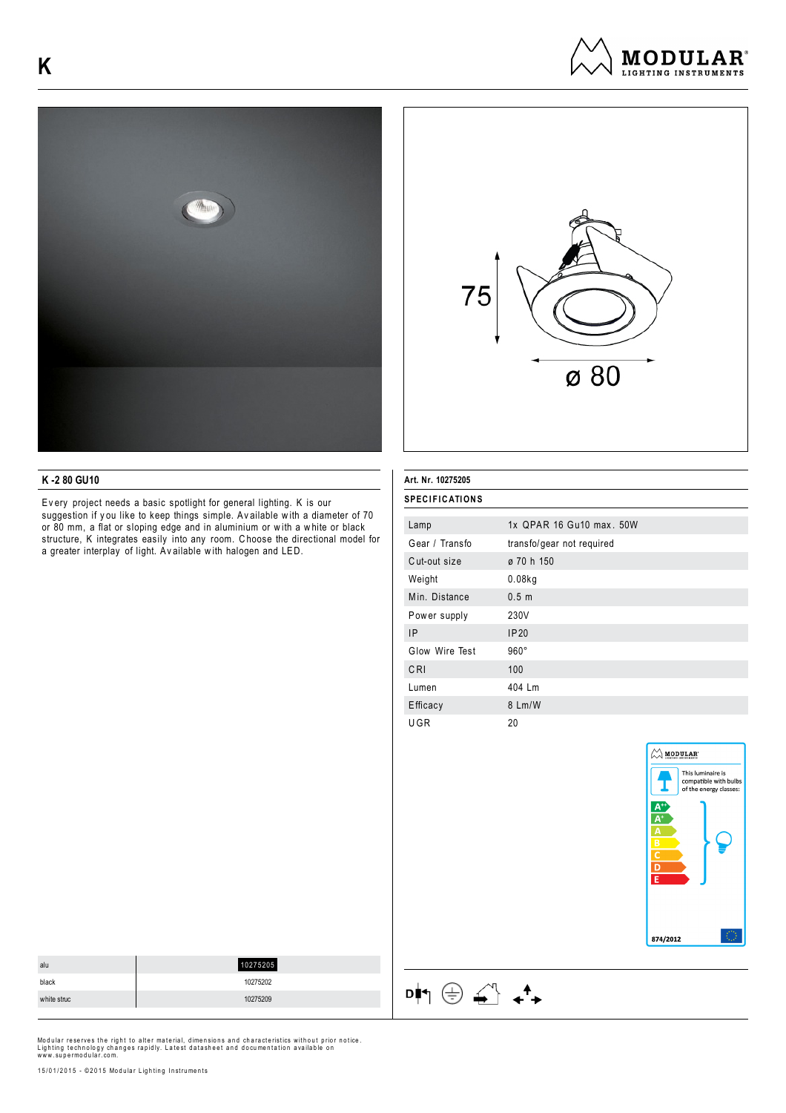





# **K -2 80 GU10**

Ev ery project needs a basic spotlight for general lighting. K is our suggestion if you like to keep things simple. Available with a diameter of 70 or 80 mm, a flat or sloping edge and in aluminium or w ith a w hite or black structure, K integrates easily into any room. C hoose the directional model for a greater interplay of light. Av ailable w ith halogen and LED.

### **Art. Nr. 10275205**

| Lamp           | 1x QPAR 16 Gu10 max, 50W  |
|----------------|---------------------------|
| Gear / Transfo | transfo/gear not required |
| Cut-out size   | ø 70 h 150                |
| Weight         | 0.08kg                    |
| Min. Distance  | 0.5 <sub>m</sub>          |
| Power supply   | 230V                      |
| <b>IP</b>      | IP20                      |
| Glow Wire Test | $960^\circ$               |
| CRI            | 100                       |
| Lumen          | 404 Lm                    |
| Efficacy       | 8 Lm/W                    |
| UGR            | 20                        |



| alu         | 10275205 |
|-------------|----------|
| black       | 10275202 |
| white struc | 10275209 |

Modular reserves the right to alter material, dimensions and characteristics without prior notice.<br>Lighting technology changes rapidly. Latest datasheet and documentation available on<br>www.supermodular.com.

 $\mathsf{D} \blacklozenge \mathsf{I} \oplus \mathsf{I} \oplus \mathsf{I} \qquad \mathsf{I} \blacktriangleright \mathsf{I}$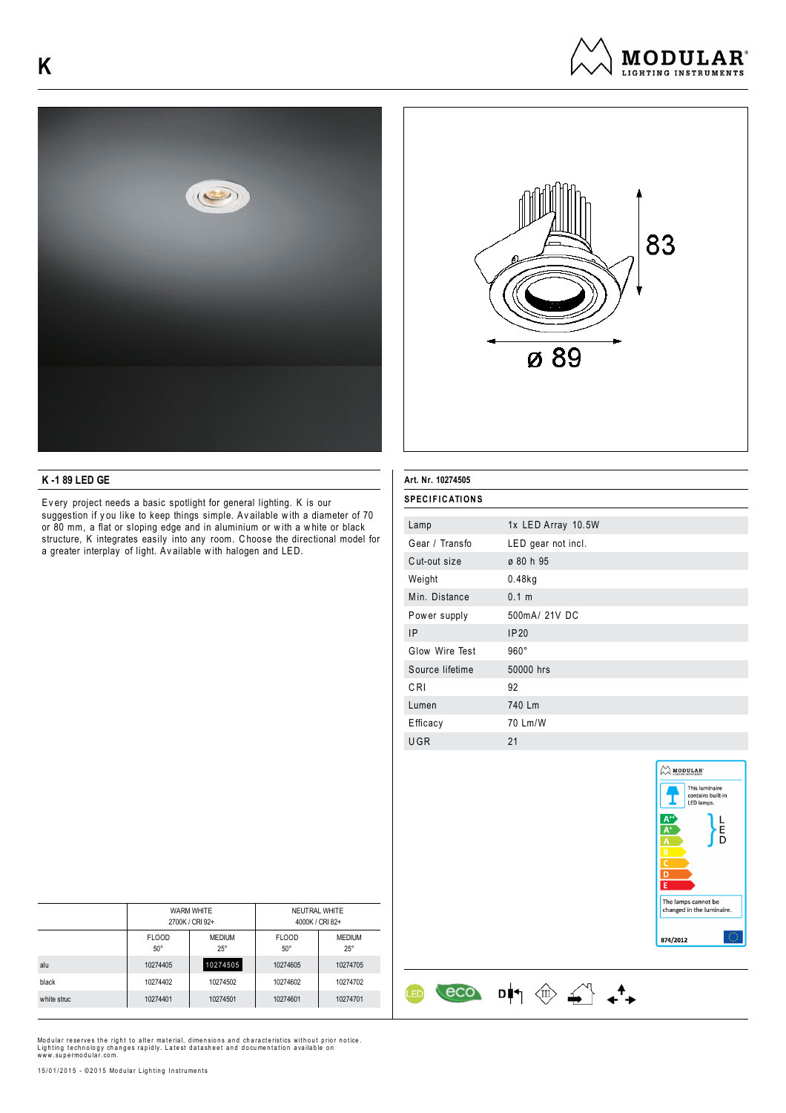





## **K -1 89 LED GE**

Ev ery project needs a basic spotlight for general lighting. K is our suggestion if you like to keep things simple. Available with a diameter of 70 or 80 mm, a flat or sloping edge and in aluminium or w ith a w hite or black structure, K integrates easily into any room. C hoose the directional model for a greater interplay of light. Av ailable w ith halogen and LED.

#### **Art. Nr. 10274505**

| <b>SPECIFICATIONS</b> |                    |  |
|-----------------------|--------------------|--|
|                       |                    |  |
| Lamp                  | 1x LED Array 10.5W |  |
| Gear / Transfo        | LED gear not incl. |  |
| Cut-out size          | ø 80 h 95          |  |
| Weight                | $0.48$ kg          |  |
| Min. Distance         | 0.1 m              |  |
| Power supply          | 500mA/ 21V DC      |  |
| <b>IP</b>             | IP20               |  |
| Glow Wire Test        | $960^\circ$        |  |
| Source lifetime       | 50000 hrs          |  |
| CRI                   | 92                 |  |
| Lumen                 | 740 Lm             |  |
| Efficacy              | 70 Lm/W            |  |
| UGR                   | 21                 |  |

 $\begin{array}{ccc} & & & \\ \hline & & & \\ \hline & & & \\ \hline & & & \\ \hline & & & \\ \hline & & & \\ \hline & & & \\ \hline & & & \\ \hline & & & \\ \hline & & & \\ \hline & & & \\ \hline & & & \\ \hline & & & \\ \hline & & & \\ \hline & & & \\ \hline & & & \\ \hline & & & \\ \hline & & & \\ \hline & & & \\ \hline & & & \\ \hline & & & & \\ \hline & & & & \\ \hline & & & & \\ \hline & & & & \\ \hline & & & & \\ \hline & & & & \\ \hline & & & & \\ \hline & & & & \\ \hline & & & & \\ \hline &$ 

**LED** 



|             | <b>WARM WHITE</b><br>2700K / CRI 92+ |                             | NEUTRAL WHITE<br>4000K / CRI 82+ |                             |
|-------------|--------------------------------------|-----------------------------|----------------------------------|-----------------------------|
|             | <b>FLOOD</b><br>$50^{\circ}$         | <b>MEDIUM</b><br>$25^\circ$ | <b>FLOOD</b><br>$50^\circ$       | <b>MEDIUM</b><br>$25^\circ$ |
| alu         | 10274405                             | 10274505                    | 10274605                         | 10274705                    |
| black       | 10274402                             | 10274502                    | 10274602                         | 10274702                    |
| white struc | 10274401                             | 10274501                    | 10274601                         | 10274701                    |

Modular reserves the right to alter material, dimensions and characteristics without prior notice.<br>Lighting technology changes rapidly. Latest datasheet and documentation available on<br>www.supermodular.com.

15/01/2015 - ©2015 Modular Lighting Instruments